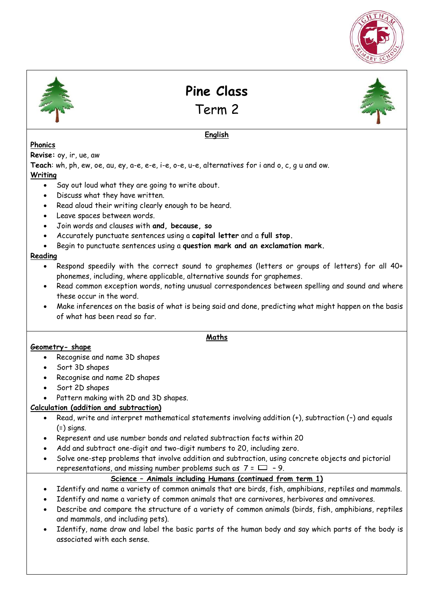



**Pine Class** 

Term 2

**English** 



# **Phonics**

**Revise:** oy, ir, ue, aw

**Teach**: wh, ph, ew, oe, au, ey, a-e, e-e, i-e, o-e, u-e, alternatives for i and o, c, g u and ow. **Writing** 

- Say out loud what they are going to write about.
- Discuss what they have written.
- Read aloud their writing clearly enough to be heard.
- Leave spaces between words.
- Join words and clauses with **and, because, so**
- Accurately punctuate sentences using a **capital letter** and a **full stop.**
- Begin to punctuate sentences using a **question mark and an exclamation mark.**

### **Reading**

- Respond speedily with the correct sound to graphemes (letters or groups of letters) for all 40+ phonemes, including, where applicable, alternative sounds for graphemes.
- Read common exception words, noting unusual correspondences between spelling and sound and where these occur in the word.
- Make inferences on the basis of what is being said and done, predicting what might happen on the basis of what has been read so far.

#### **Maths**

#### **Geometry- shape**

- Recognise and name 3D shapes
- Sort 3D shapes
- Recognise and name 2D shapes
- Sort 2D shapes
- Pattern making with 2D and 3D shapes.

## **Calculation (addition and subtraction)**

- Read, write and interpret mathematical statements involving addition (+), subtraction (–) and equals  $(=)$  signs.
- Represent and use number bonds and related subtraction facts within 20
- Add and subtract one-digit and two-digit numbers to 20, including zero.
- Solve one-step problems that involve addition and subtraction, using concrete objects and pictorial representations, and missing number problems such as  $7 = \square - 9$ .

## **Science – Animals including Humans (continued from term 1)**

- Identify and name a variety of common animals that are birds, fish, amphibians, reptiles and mammals.
- Identify and name a variety of common animals that are carnivores, herbivores and omnivores.
- Describe and compare the structure of a variety of common animals (birds, fish, amphibians, reptiles and mammals, and including pets).
- Identify, name draw and label the basic parts of the human body and say which parts of the body is associated with each sense.